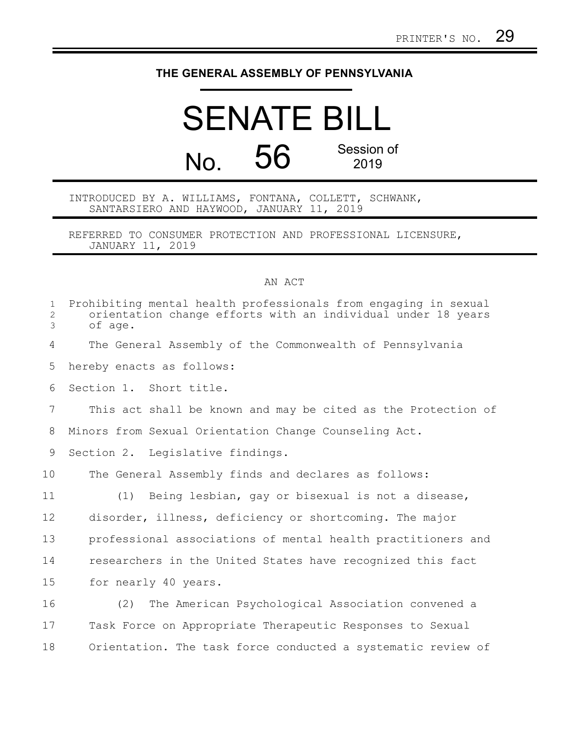## **THE GENERAL ASSEMBLY OF PENNSYLVANIA**

## SENATE BILL No. 56 Session of 2019

INTRODUCED BY A. WILLIAMS, FONTANA, COLLETT, SCHWANK, SANTARSIERO AND HAYWOOD, JANUARY 11, 2019

REFERRED TO CONSUMER PROTECTION AND PROFESSIONAL LICENSURE, JANUARY 11, 2019

## AN ACT

| $\mathbf 1$<br>$\overline{2}$<br>3 | Prohibiting mental health professionals from engaging in sexual<br>orientation change efforts with an individual under 18 years<br>of age. |
|------------------------------------|--------------------------------------------------------------------------------------------------------------------------------------------|
| 4                                  | The General Assembly of the Commonwealth of Pennsylvania                                                                                   |
| 5                                  | hereby enacts as follows:                                                                                                                  |
| 6                                  | Section 1. Short title.                                                                                                                    |
| 7                                  | This act shall be known and may be cited as the Protection of                                                                              |
| 8                                  | Minors from Sexual Orientation Change Counseling Act.                                                                                      |
| 9                                  | Section 2. Legislative findings.                                                                                                           |
| 10                                 | The General Assembly finds and declares as follows:                                                                                        |
| 11                                 | Being lesbian, gay or bisexual is not a disease,<br>(1)                                                                                    |
| 12                                 | disorder, illness, deficiency or shortcoming. The major                                                                                    |
| 13                                 | professional associations of mental health practitioners and                                                                               |
| 14                                 | researchers in the United States have recognized this fact                                                                                 |
| 15                                 | for nearly 40 years.                                                                                                                       |
| 16                                 | The American Psychological Association convened a<br>(2)                                                                                   |
| 17                                 | Task Force on Appropriate Therapeutic Responses to Sexual                                                                                  |
| 18                                 | Orientation. The task force conducted a systematic review of                                                                               |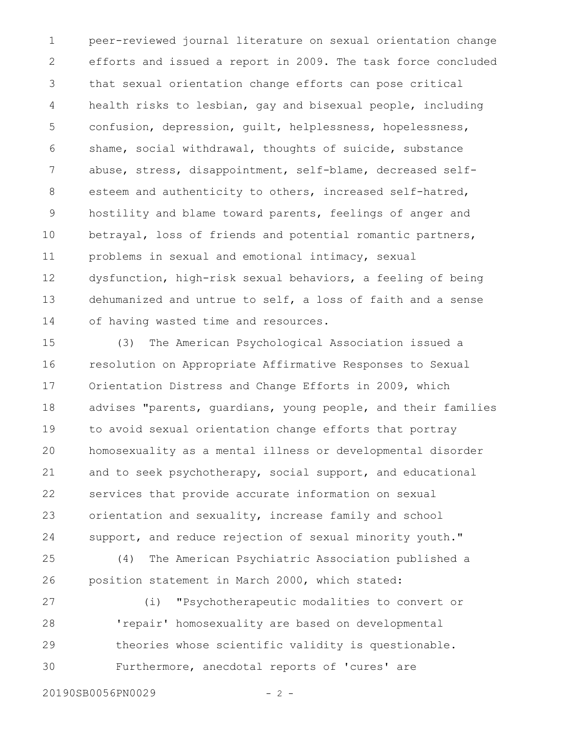peer-reviewed journal literature on sexual orientation change efforts and issued a report in 2009. The task force concluded that sexual orientation change efforts can pose critical health risks to lesbian, gay and bisexual people, including confusion, depression, guilt, helplessness, hopelessness, shame, social withdrawal, thoughts of suicide, substance abuse, stress, disappointment, self-blame, decreased selfesteem and authenticity to others, increased self-hatred, hostility and blame toward parents, feelings of anger and betrayal, loss of friends and potential romantic partners, problems in sexual and emotional intimacy, sexual dysfunction, high-risk sexual behaviors, a feeling of being dehumanized and untrue to self, a loss of faith and a sense of having wasted time and resources. 1 2 3 4 5 6 7 8 9 10 11 12 13 14

(3) The American Psychological Association issued a resolution on Appropriate Affirmative Responses to Sexual Orientation Distress and Change Efforts in 2009, which advises "parents, guardians, young people, and their families to avoid sexual orientation change efforts that portray homosexuality as a mental illness or developmental disorder and to seek psychotherapy, social support, and educational services that provide accurate information on sexual orientation and sexuality, increase family and school support, and reduce rejection of sexual minority youth." 15 16 17 18 19 20 21 22 23 24

(4) The American Psychiatric Association published a position statement in March 2000, which stated: 25 26

(i) "Psychotherapeutic modalities to convert or 'repair' homosexuality are based on developmental theories whose scientific validity is questionable. Furthermore, anecdotal reports of 'cures' are 27 28 29 30

20190SB0056PN0029 - 2 -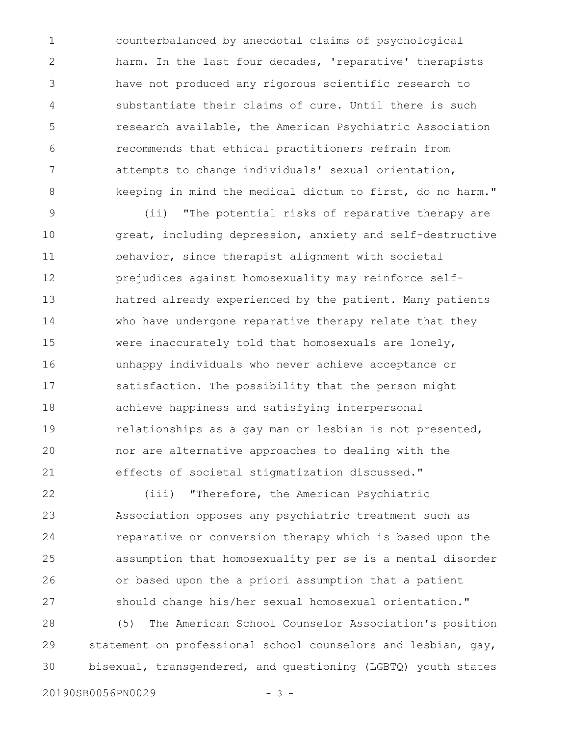counterbalanced by anecdotal claims of psychological harm. In the last four decades, 'reparative' therapists have not produced any rigorous scientific research to substantiate their claims of cure. Until there is such research available, the American Psychiatric Association recommends that ethical practitioners refrain from attempts to change individuals' sexual orientation, keeping in mind the medical dictum to first, do no harm." 1 2 3 4 5 6 7 8

(ii) "The potential risks of reparative therapy are great, including depression, anxiety and self-destructive behavior, since therapist alignment with societal prejudices against homosexuality may reinforce selfhatred already experienced by the patient. Many patients who have undergone reparative therapy relate that they were inaccurately told that homosexuals are lonely, unhappy individuals who never achieve acceptance or satisfaction. The possibility that the person might achieve happiness and satisfying interpersonal relationships as a gay man or lesbian is not presented, nor are alternative approaches to dealing with the effects of societal stigmatization discussed." 9 10 11 12 13 14 15 16 17 18 19 20 21

(iii) "Therefore, the American Psychiatric Association opposes any psychiatric treatment such as reparative or conversion therapy which is based upon the assumption that homosexuality per se is a mental disorder or based upon the a priori assumption that a patient should change his/her sexual homosexual orientation." 22 23 24 25 26 27

(5) The American School Counselor Association's position statement on professional school counselors and lesbian, gay, bisexual, transgendered, and questioning (LGBTQ) youth states 28 29 30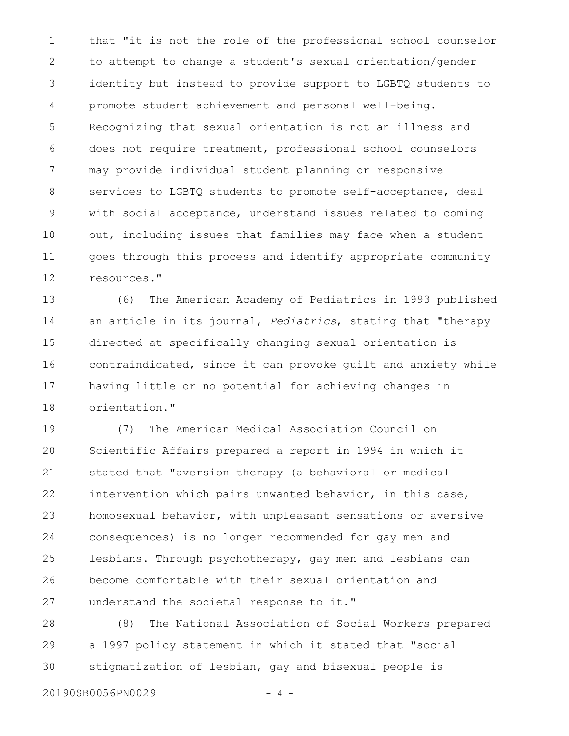that "it is not the role of the professional school counselor to attempt to change a student's sexual orientation/gender identity but instead to provide support to LGBTQ students to promote student achievement and personal well-being. Recognizing that sexual orientation is not an illness and does not require treatment, professional school counselors may provide individual student planning or responsive services to LGBTQ students to promote self-acceptance, deal with social acceptance, understand issues related to coming out, including issues that families may face when a student goes through this process and identify appropriate community resources." 1 2 3 4 5 6 7 8 9 10 11 12

(6) The American Academy of Pediatrics in 1993 published an article in its journal, *Pediatrics*, stating that "therapy directed at specifically changing sexual orientation is contraindicated, since it can provoke guilt and anxiety while having little or no potential for achieving changes in orientation." 13 14 15 16 17 18

(7) The American Medical Association Council on Scientific Affairs prepared a report in 1994 in which it stated that "aversion therapy (a behavioral or medical intervention which pairs unwanted behavior, in this case, homosexual behavior, with unpleasant sensations or aversive consequences) is no longer recommended for gay men and lesbians. Through psychotherapy, gay men and lesbians can become comfortable with their sexual orientation and understand the societal response to it." 19 20 21 22 23 24 25 26 27

(8) The National Association of Social Workers prepared a 1997 policy statement in which it stated that "social stigmatization of lesbian, gay and bisexual people is 28 29 30

20190SB0056PN0029 - 4 -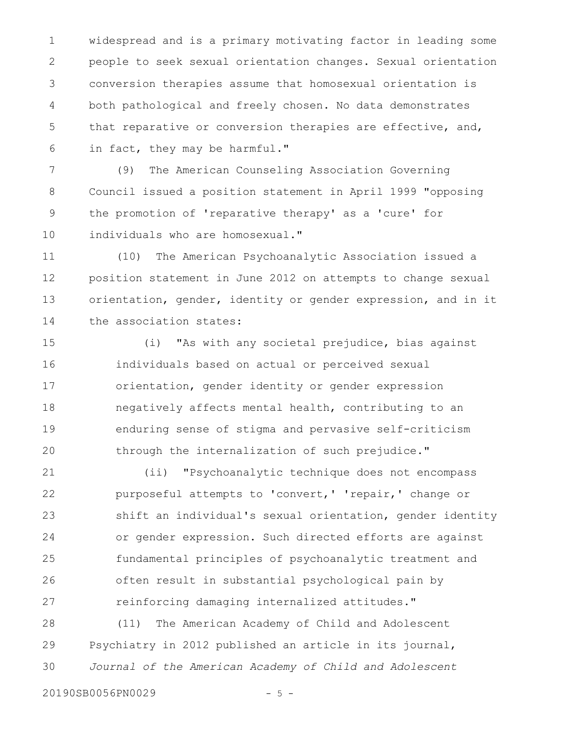widespread and is a primary motivating factor in leading some people to seek sexual orientation changes. Sexual orientation conversion therapies assume that homosexual orientation is both pathological and freely chosen. No data demonstrates that reparative or conversion therapies are effective, and, in fact, they may be harmful." 1 2 3 4 5 6

(9) The American Counseling Association Governing Council issued a position statement in April 1999 "opposing the promotion of 'reparative therapy' as a 'cure' for individuals who are homosexual." 7 8 9 10

(10) The American Psychoanalytic Association issued a position statement in June 2012 on attempts to change sexual orientation, gender, identity or gender expression, and in it the association states: 11 12 13 14

(i) "As with any societal prejudice, bias against individuals based on actual or perceived sexual orientation, gender identity or gender expression negatively affects mental health, contributing to an enduring sense of stigma and pervasive self-criticism through the internalization of such prejudice." 15 16 17 18 19 20

(ii) "Psychoanalytic technique does not encompass purposeful attempts to 'convert,' 'repair,' change or shift an individual's sexual orientation, gender identity or gender expression. Such directed efforts are against fundamental principles of psychoanalytic treatment and often result in substantial psychological pain by reinforcing damaging internalized attitudes." 21 22 23 24 25 26 27

(11) The American Academy of Child and Adolescent Psychiatry in 2012 published an article in its journal, *Journal of the American Academy of Child and Adolescent* 28 29 30

20190SB0056PN0029 - 5 -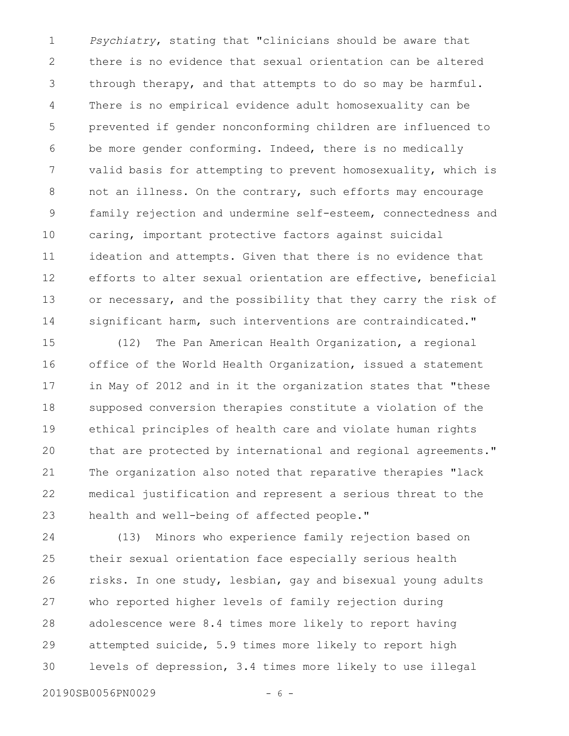*Psychiatry*, stating that "clinicians should be aware that there is no evidence that sexual orientation can be altered through therapy, and that attempts to do so may be harmful. There is no empirical evidence adult homosexuality can be prevented if gender nonconforming children are influenced to be more gender conforming. Indeed, there is no medically valid basis for attempting to prevent homosexuality, which is not an illness. On the contrary, such efforts may encourage family rejection and undermine self-esteem, connectedness and caring, important protective factors against suicidal ideation and attempts. Given that there is no evidence that efforts to alter sexual orientation are effective, beneficial or necessary, and the possibility that they carry the risk of significant harm, such interventions are contraindicated." 1 2 3 4 5 6 7 8 9 10 11 12 13 14

(12) The Pan American Health Organization, a regional office of the World Health Organization, issued a statement in May of 2012 and in it the organization states that "these supposed conversion therapies constitute a violation of the ethical principles of health care and violate human rights that are protected by international and regional agreements." The organization also noted that reparative therapies "lack medical justification and represent a serious threat to the health and well-being of affected people." 15 16 17 18 19 20 21 22 23

(13) Minors who experience family rejection based on their sexual orientation face especially serious health risks. In one study, lesbian, gay and bisexual young adults who reported higher levels of family rejection during adolescence were 8.4 times more likely to report having attempted suicide, 5.9 times more likely to report high levels of depression, 3.4 times more likely to use illegal 24 25 26 27 28 29 30

20190SB0056PN0029 - 6 -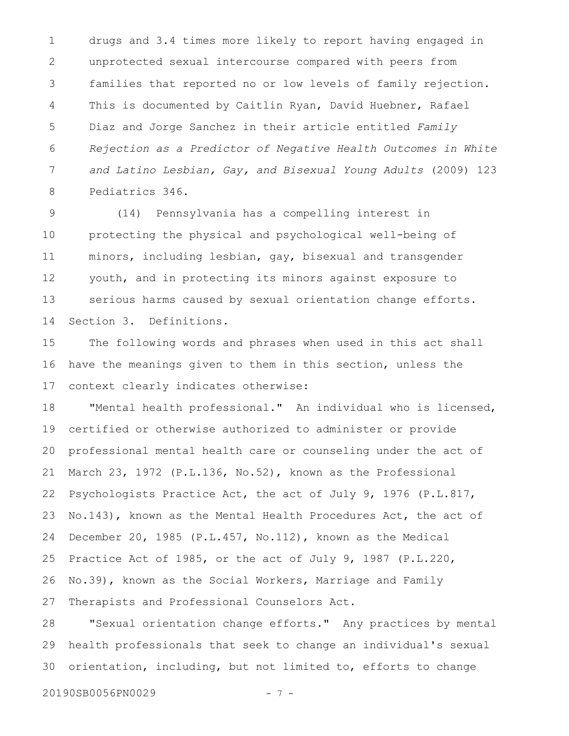drugs and 3.4 times more likely to report having engaged in unprotected sexual intercourse compared with peers from families that reported no or low levels of family rejection. This is documented by Caitlin Ryan, David Huebner, Rafael Diaz and Jorge Sanchez in their article entitled *Family Rejection as a Predictor of Negative Health Outcomes in White and Latino Lesbian, Gay, and Bisexual Young Adults* (2009) 123 Pediatrics 346. 1 2 3 4 5 6 7 8

(14) Pennsylvania has a compelling interest in protecting the physical and psychological well-being of minors, including lesbian, gay, bisexual and transgender youth, and in protecting its minors against exposure to serious harms caused by sexual orientation change efforts. Section 3. Definitions. 9 10 11 12 13 14

The following words and phrases when used in this act shall have the meanings given to them in this section, unless the context clearly indicates otherwise: 15 16 17

"Mental health professional." An individual who is licensed, certified or otherwise authorized to administer or provide professional mental health care or counseling under the act of March 23, 1972 (P.L.136, No.52), known as the Professional Psychologists Practice Act, the act of July 9, 1976 (P.L.817, No.143), known as the Mental Health Procedures Act, the act of December 20, 1985 (P.L.457, No.112), known as the Medical Practice Act of 1985, or the act of July 9, 1987 (P.L.220, No.39), known as the Social Workers, Marriage and Family Therapists and Professional Counselors Act. 18 19 20 21 22 23 24 25 26 27

"Sexual orientation change efforts." Any practices by mental health professionals that seek to change an individual's sexual orientation, including, but not limited to, efforts to change 28 29 30

20190SB0056PN0029 - 7 -